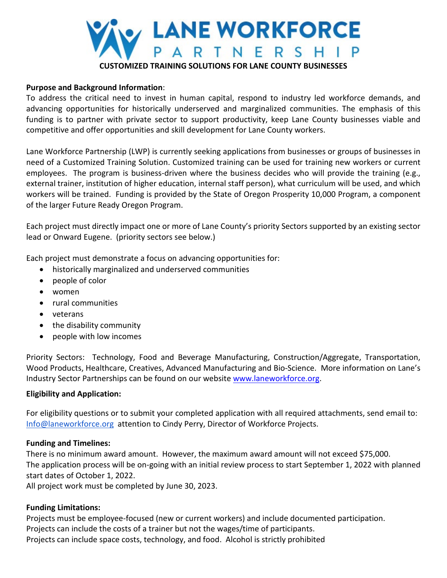

### **Purpose and Background Information**:

To address the critical need to invest in human capital, respond to industry led workforce demands, and advancing opportunities for historically underserved and marginalized communities. The emphasis of this funding is to partner with private sector to support productivity, keep Lane County businesses viable and competitive and offer opportunities and skill development for Lane County workers.

Lane Workforce Partnership (LWP) is currently seeking applications from businesses or groups of businesses in need of a Customized Training Solution. Customized training can be used for training new workers or current employees. The program is business-driven where the business decides who will provide the training (e.g., external trainer, institution of higher education, internal staff person), what curriculum will be used, and which workers will be trained. Funding is provided by the State of Oregon Prosperity 10,000 Program, a component of the larger Future Ready Oregon Program.

Each project must directly impact one or more of Lane County's priority Sectors supported by an existing sector lead or Onward Eugene. (priority sectors see below.)

Each project must demonstrate a focus on advancing opportunities for:

- historically marginalized and underserved communities
- people of color
- women
- rural communities
- veterans
- the disability community
- people with low incomes

Priority Sectors: Technology, Food and Beverage Manufacturing, Construction/Aggregate, Transportation, Wood Products, Healthcare, Creatives, Advanced Manufacturing and Bio-Science. More information on Lane's Industry Sector Partnerships can be found on our website [www.laneworkforce.org.](http://www.laneworkforce.org/)

## **Eligibility and Application:**

For eligibility questions or to submit your completed application with all required attachments, send email to: [Info@laneworkforce.org](mailto:Info@laneworkforce.org) attention to Cindy Perry, Director of Workforce Projects.

## **Funding and Timelines:**

There is no minimum award amount. However, the maximum award amount will not exceed \$75,000. The application process will be on-going with an initial review process to start September 1, 2022 with planned start dates of October 1, 2022.

All project work must be completed by June 30, 2023.

## **Funding Limitations:**

Projects must be employee-focused (new or current workers) and include documented participation. Projects can include the costs of a trainer but not the wages/time of participants. Projects can include space costs, technology, and food. Alcohol is strictly prohibited